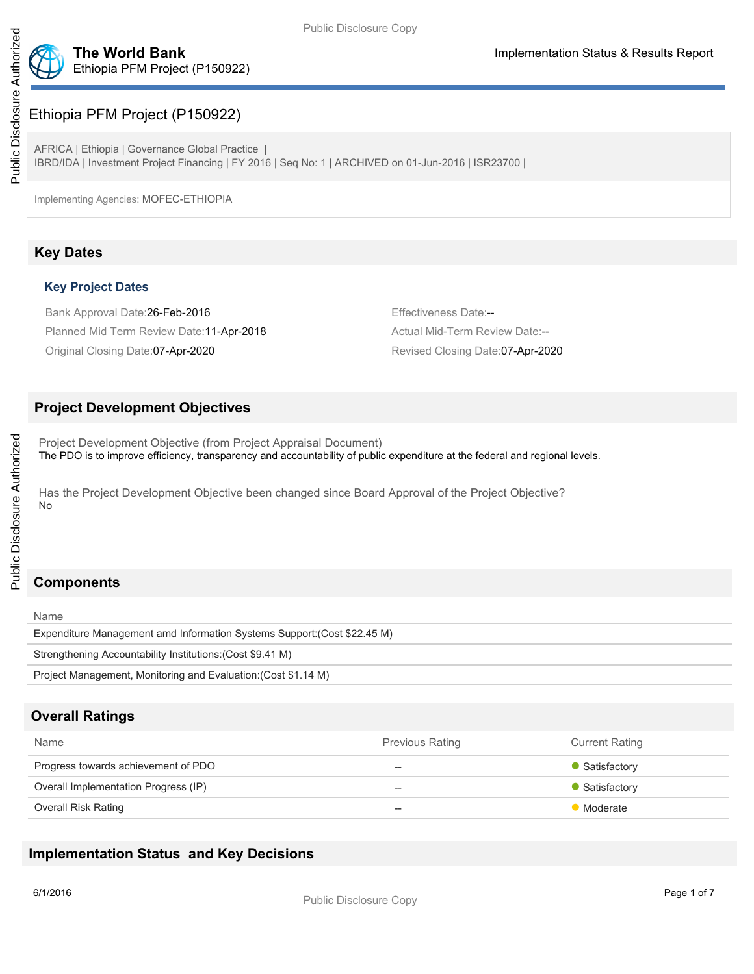

# Ethiopia PFM Project (P150922)

AFRICA | Ethiopia | Governance Global Practice | IBRD/IDA | Investment Project Financing | FY 2016 | Seq No: 1 | ARCHIVED on 01-Jun-2016 | ISR23700 |

Implementing Agencies: MOFEC-ETHIOPIA

# **Key Dates**

# **Key Project Dates**

Bank Approval Date: 26-Feb-2016 **Example 2016** Effectiveness Date:--Planned Mid Term Review Date:11-Apr-2018 **Actual Mid-Term Review Date:--** Actual Mid-Term Review Date:--Original Closing Date:07-Apr-2020 Revised Closing Date:07-Apr-2020

# **Project Development Objectives**

Project Development Objective (from Project Appraisal Document) The PDO is to improve efficiency, transparency and accountability of public expenditure at the federal and regional levels.

Has the Project Development Objective been changed since Board Approval of the Project Objective? No

# **Components**

Name Expenditure Management amd Information Systems Support:(Cost \$22.45 M) Strengthening Accountability Institutions:(Cost \$9.41 M) Project Management, Monitoring and Evaluation:(Cost \$1.14 M)

# **Overall Ratings**

| Name                                 | <b>Previous Rating</b> | <b>Current Rating</b> |
|--------------------------------------|------------------------|-----------------------|
| Progress towards achievement of PDO  | $- -$                  | • Satisfactory        |
| Overall Implementation Progress (IP) | $- -$                  | • Satisfactory        |
| Overall Risk Rating                  | $- -$                  | <b>Moderate</b>       |

# **Implementation Status and Key Decisions**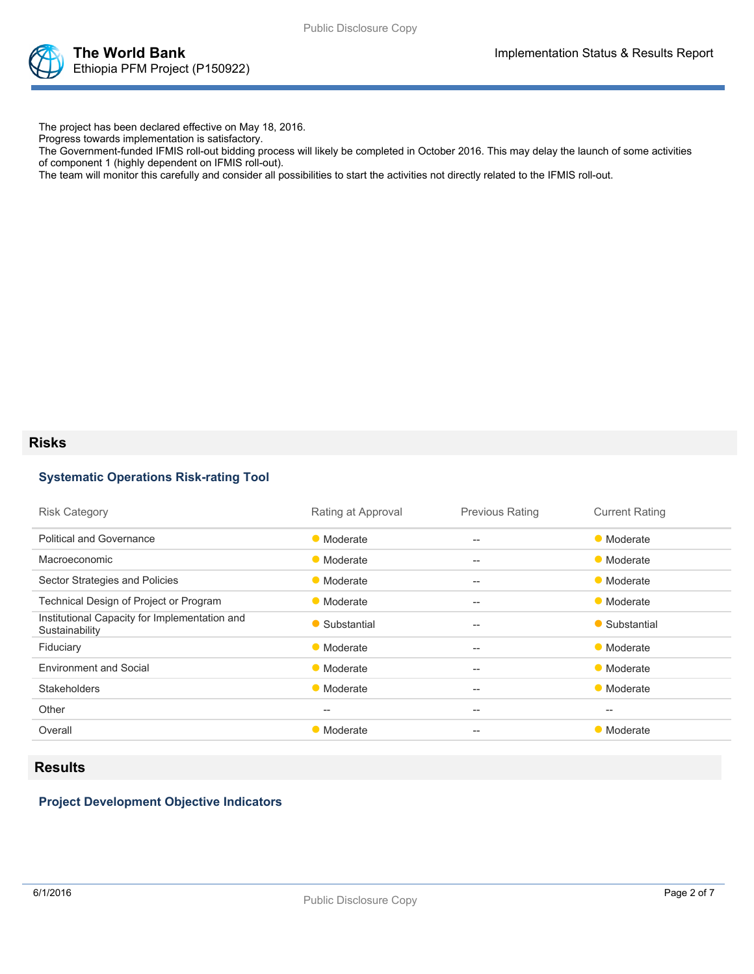



The project has been declared effective on May 18, 2016.

Progress towards implementation is satisfactory.

The Government-funded IFMIS roll-out bidding process will likely be completed in October 2016. This may delay the launch of some activities of component 1 (highly dependent on IFMIS roll-out).

The team will monitor this carefully and consider all possibilities to start the activities not directly related to the IFMIS roll-out.

# **Risks**

### **Systematic Operations Risk-rating Tool**

| <b>Risk Category</b>                                            | Rating at Approval | <b>Previous Rating</b> | <b>Current Rating</b> |
|-----------------------------------------------------------------|--------------------|------------------------|-----------------------|
| <b>Political and Governance</b>                                 | • Moderate         | $-$                    | • Moderate            |
| Macroeconomic                                                   | • Moderate         | $-$                    | • Moderate            |
| Sector Strategies and Policies                                  | • Moderate         | $-$                    | • Moderate            |
| Technical Design of Project or Program                          | • Moderate         | $-$                    | • Moderate            |
| Institutional Capacity for Implementation and<br>Sustainability | • Substantial      | $-$                    | • Substantial         |
| Fiduciary                                                       | • Moderate         | $-$                    | • Moderate            |
| <b>Environment and Social</b>                                   | • Moderate         | $-$                    | • Moderate            |
| <b>Stakeholders</b>                                             | • Moderate         | $-$                    | • Moderate            |
| Other                                                           | $- -$              | $-$                    | $- -$                 |
| Overall                                                         | • Moderate         | $- -$                  | • Moderate            |

# **Results**

## **Project Development Objective Indicators**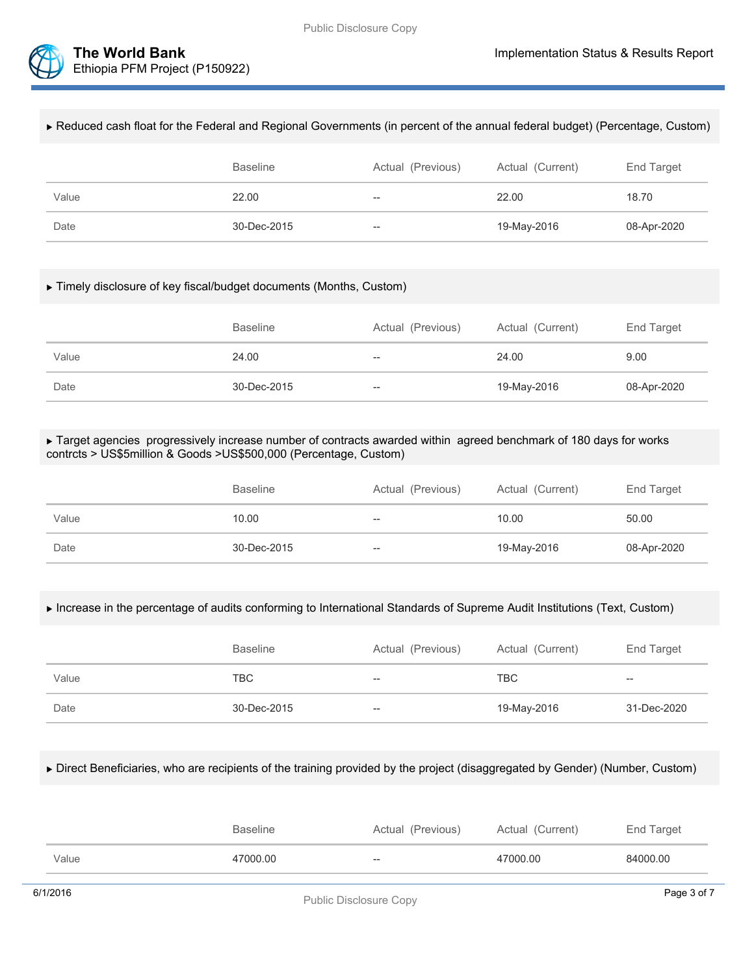

### Reduced cash float for the Federal and Regional Governments (in percent of the annual federal budget) (Percentage, Custom)

|       | <b>Baseline</b> | Actual (Previous) | Actual (Current) | End Target  |
|-------|-----------------|-------------------|------------------|-------------|
| Value | 22.00           | $--$              | 22.00            | 18.70       |
| Date  | 30-Dec-2015     | $- -$             | 19-May-2016      | 08-Apr-2020 |

#### Timely disclosure of key fiscal/budget documents (Months, Custom)

|       | <b>Baseline</b> | Actual (Previous) | Actual (Current) | End Target  |
|-------|-----------------|-------------------|------------------|-------------|
| Value | 24.00           | $- -$             | 24.00            | 9.00        |
| Date  | 30-Dec-2015     | $- -$             | 19-May-2016      | 08-Apr-2020 |

#### ▶ Target agencies progressively increase number of contracts awarded within agreed benchmark of 180 days for works contrcts > US\$5million & Goods >US\$500,000 (Percentage, Custom)

|       | <b>Baseline</b> | Actual (Previous)                     | Actual (Current) | End Target  |
|-------|-----------------|---------------------------------------|------------------|-------------|
| Value | 10.00           | $\overline{\phantom{m}}$              | 10.00            | 50.00       |
| Date  | 30-Dec-2015     | $\hspace{0.05cm}$ – $\hspace{0.05cm}$ | 19-May-2016      | 08-Apr-2020 |

#### Increase in the percentage of audits conforming to International Standards of Supreme Audit Institutions (Text, Custom)

|       | <b>Baseline</b> | Actual (Previous) | Actual (Current) | End Target  |
|-------|-----------------|-------------------|------------------|-------------|
| Value | <b>TBC</b>      | $- -$             | <b>TBC</b>       | $- -$       |
| Date  | 30-Dec-2015     | $- -$             | 19-May-2016      | 31-Dec-2020 |

#### Direct Beneficiaries, who are recipients of the training provided by the project (disaggregated by Gender) (Number, Custom)

|       | Baseline | Actual (Previous) | Actual (Current) | End Target |
|-------|----------|-------------------|------------------|------------|
| Value | 47000.00 | $- -$             | 47000.00         | 84000.00   |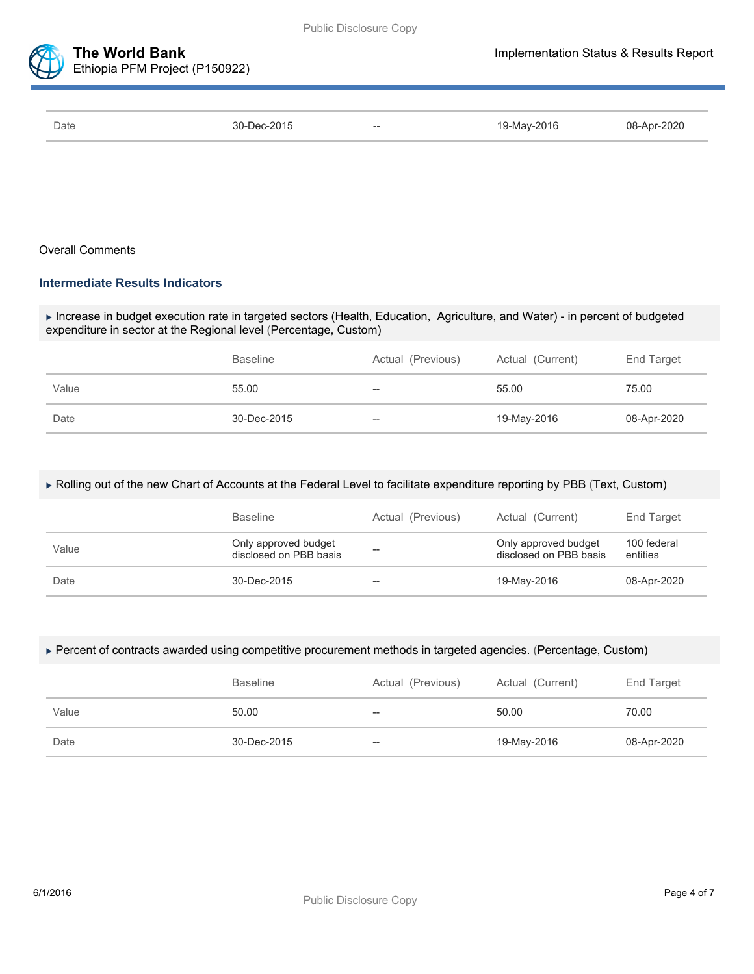

| Date | 30-Dec-2015 | $- -$ | 19-May-2016 | 08-Apr-2020 |
|------|-------------|-------|-------------|-------------|

### Overall Comments

### **Intermediate Results Indicators**

 Increase in budget execution rate in targeted sectors (Health, Education, Agriculture, and Water) - in percent of budgeted expenditure in sector at the Regional level (Percentage, Custom)

|       | <b>Baseline</b> | Actual (Previous)                                   | Actual (Current) | End Target  |
|-------|-----------------|-----------------------------------------------------|------------------|-------------|
| Value | 55.00           | $--$                                                | 55.00            | 75.00       |
| Date  | 30-Dec-2015     | $\hspace{0.05cm} -\hspace{0.05cm} -\hspace{0.05cm}$ | 19-May-2016      | 08-Apr-2020 |

#### Rolling out of the new Chart of Accounts at the Federal Level to facilitate expenditure reporting by PBB (Text, Custom)

|       | <b>Baseline</b>                                | Actual (Previous) | Actual (Current)                               | End Target              |
|-------|------------------------------------------------|-------------------|------------------------------------------------|-------------------------|
| Value | Only approved budget<br>disclosed on PBB basis | --                | Only approved budget<br>disclosed on PBB basis | 100 federal<br>entities |
| Date  | 30-Dec-2015                                    | $- -$             | 19-May-2016                                    | 08-Apr-2020             |

#### Percent of contracts awarded using competitive procurement methods in targeted agencies. (Percentage, Custom)

|       | <b>Baseline</b> | Actual (Previous) | Actual (Current) | End Target  |
|-------|-----------------|-------------------|------------------|-------------|
| Value | 50.00           | $- -$             | 50.00            | 70.00       |
| Date  | 30-Dec-2015     | $- -$             | 19-May-2016      | 08-Apr-2020 |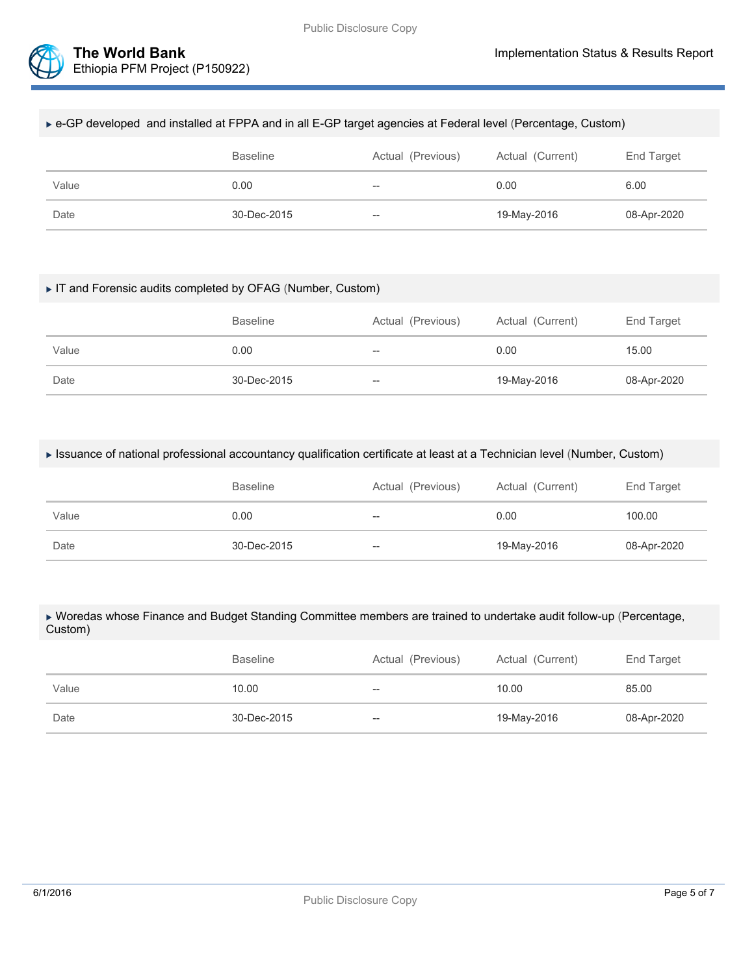

### e-GP developed and installed at FPPA and in all E-GP target agencies at Federal level (Percentage, Custom)

|       | <b>Baseline</b> | Actual (Previous)        | Actual (Current) | End Target  |
|-------|-----------------|--------------------------|------------------|-------------|
| Value | 0.00            | $\overline{\phantom{a}}$ | 0.00             | 6.00        |
| Date  | 30-Dec-2015     | $\hspace{0.05cm}$        | 19-May-2016      | 08-Apr-2020 |

#### IT and Forensic audits completed by OFAG (Number, Custom)

|       | <b>Baseline</b> | Actual (Previous) | Actual (Current) | End Target  |
|-------|-----------------|-------------------|------------------|-------------|
| Value | 0.00            | $\hspace{0.05cm}$ | 0.00             | 15.00       |
| Date  | 30-Dec-2015     | $\hspace{0.05cm}$ | 19-May-2016      | 08-Apr-2020 |

#### Issuance of national professional accountancy qualification certificate at least at a Technician level (Number, Custom)

|       | <b>Baseline</b> | Actual (Previous) | Actual (Current) | End Target  |
|-------|-----------------|-------------------|------------------|-------------|
| Value | 0.00            | $- -$             | 0.00             | 100.00      |
| Date  | 30-Dec-2015     | $-\!$             | 19-May-2016      | 08-Apr-2020 |

#### Woredas whose Finance and Budget Standing Committee members are trained to undertake audit follow-up (Percentage, Custom)

|       | <b>Baseline</b> | Actual (Previous) | Actual (Current) | End Target  |
|-------|-----------------|-------------------|------------------|-------------|
| Value | 10.00           | $- -$             | 10.00            | 85.00       |
| Date  | 30-Dec-2015     | $\hspace{0.05cm}$ | 19-May-2016      | 08-Apr-2020 |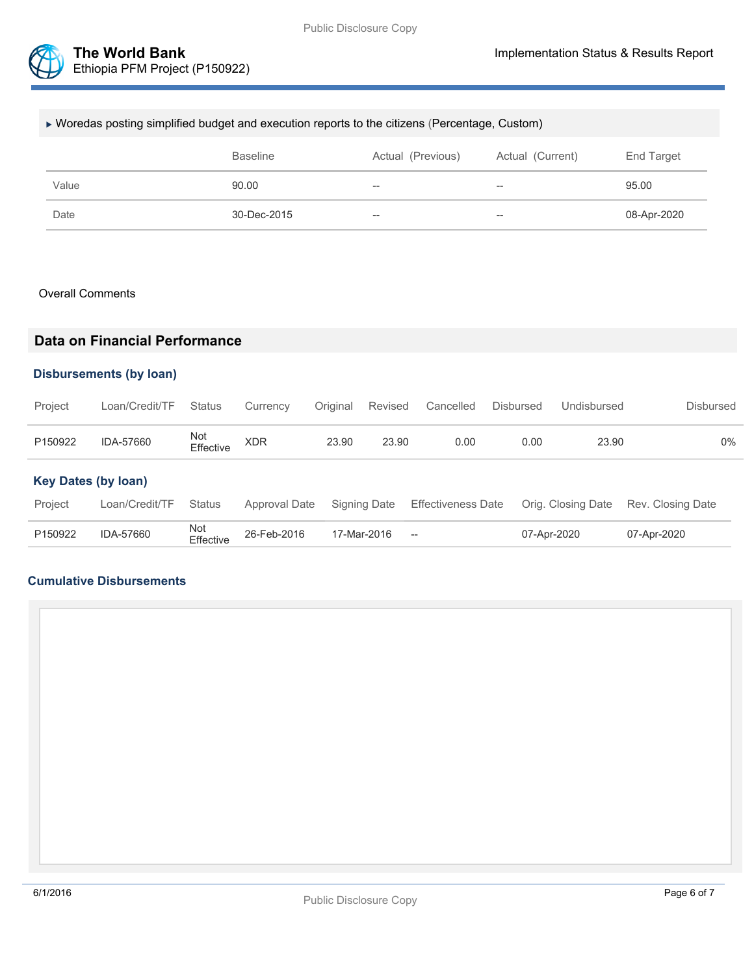

## Woredas posting simplified budget and execution reports to the citizens (Percentage, Custom)

|       | <b>Baseline</b> | Actual (Previous) | Actual (Current) | End Target  |
|-------|-----------------|-------------------|------------------|-------------|
| Value | 90.00           | $-$               | $- -$            | 95.00       |
| Date  | 30-Dec-2015     | $\hspace{0.05cm}$ | $- -$            | 08-Apr-2020 |

#### Overall Comments

# **Data on Financial Performance**

## **Disbursements (by loan)**

| Project                    | Loan/Credit/TF | <b>Status</b>    | Currency      | Original | Revised      | Cancelled                 | <b>Disbursed</b> | Undisbursed        | <b>Disbursed</b>  |
|----------------------------|----------------|------------------|---------------|----------|--------------|---------------------------|------------------|--------------------|-------------------|
| P150922                    | IDA-57660      | Not<br>Effective | XDR           | 23.90    | 23.90        | 0.00                      | 0.00             | 23.90              | 0%                |
| <b>Key Dates (by loan)</b> |                |                  |               |          |              |                           |                  |                    |                   |
| Project                    | Loan/Credit/TF | <b>Status</b>    | Approval Date |          | Signing Date | <b>Effectiveness Date</b> |                  | Orig. Closing Date | Rev. Closing Date |
| P150922                    | IDA-57660      | Not<br>Effective | 26-Feb-2016   |          | 17-Mar-2016  | $-\!$                     |                  | 07-Apr-2020        | 07-Apr-2020       |

### **Cumulative Disbursements**